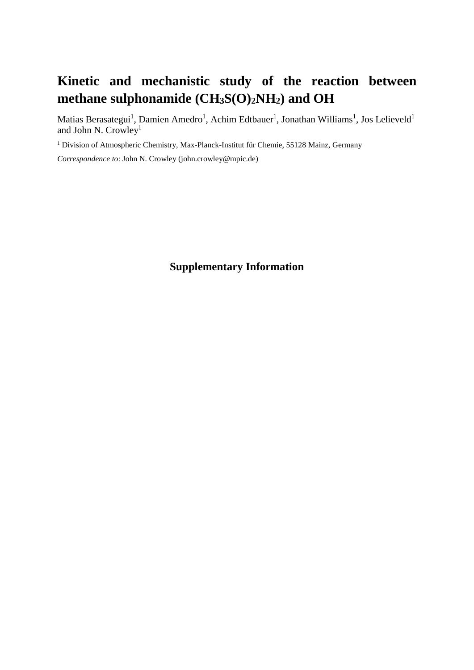## **Kinetic and mechanistic study of the reaction between methane sulphonamide (CH3S(O)2NH2) and OH**

Matias Berasategui<sup>1</sup>, Damien Amedro<sup>1</sup>, Achim Edtbauer<sup>1</sup>, Jonathan Williams<sup>1</sup>, Jos Lelieveld<sup>1</sup> and John N. Crowley<sup>1</sup>

<sup>1</sup> Division of Atmospheric Chemistry, Max-Planck-Institut für Chemie, 55128 Mainz, Germany

*Correspondence to*: John N. Crowley (john.crowley@mpic.de)

## **Supplementary Information**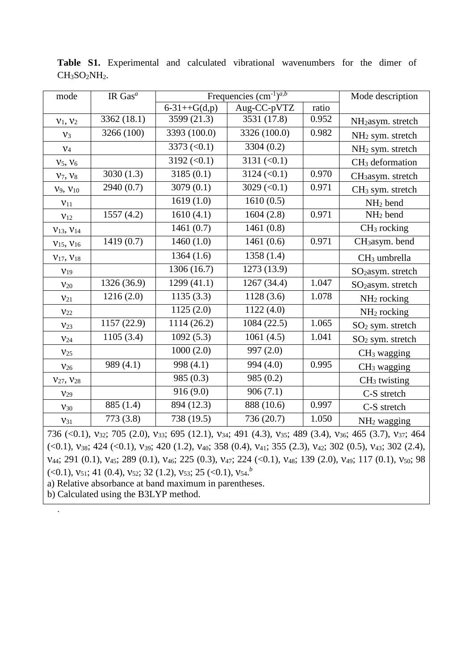| mode                | IR Gas $^a$  | Frequencies $(cm^{-1})^{a,b}$ |                     | Mode description |                               |
|---------------------|--------------|-------------------------------|---------------------|------------------|-------------------------------|
|                     |              | $6 - 31 + + G(d,p)$           | Aug-CC-pVTZ         | ratio            |                               |
| $v_1, v_2$          | 3362 (18.1)  | 3599 (21.3)                   | 3531 (17.8)         | 0.952            | NH <sub>2</sub> asym. stretch |
| $V_3$               | 3266 (100)   | 3393 (100.0)                  | 3326 (100.0)        | 0.982            | NH <sub>2</sub> sym. stretch  |
| $V_4$               |              | 3373 $(<0.1)$                 | 3304 (0.2)          |                  | $NH2$ sym. stretch            |
| $V_5, V_6$          |              | 3192 $(< 0.1)$                | 3131 (< 0.1)        |                  | $CH3$ deformation             |
| $V_7, V_8$          | 3030 $(1.3)$ | 3185(0.1)                     | $3124 \, (\le 0.1)$ | 0.970            | CH <sub>3</sub> asym. stretch |
| $V_9, V_{10}$       | 2940 (0.7)   | 3079(0.1)                     | 3029 $(< 0.1)$      | 0.971            | $CH3$ sym. stretch            |
| $V_{11}$            |              | 1619(1.0)                     | 1610(0.5)           |                  | $NH2$ bend                    |
| $v_{12}$            | 1557(4.2)    | 1610(4.1)                     | 1604(2.8)           | 0.971            | NH <sub>2</sub> bend          |
| $V_{13}$ , $V_{14}$ |              | 1461(0.7)                     | 1461(0.8)           |                  | $CH3$ rocking                 |
| $V_{15}$ , $V_{16}$ | 1419(0.7)    | 1460(1.0)                     | 1461(0.6)           | 0.971            | CH <sub>3</sub> asym. bend    |
| $V_{17}$ , $V_{18}$ |              | 1364(1.6)                     | 1358 (1.4)          |                  | CH <sub>3</sub> umbrella      |
| V <sub>19</sub>     |              | 1306 (16.7)                   | 1273 (13.9)         |                  | $SO2$ asym. stretch           |
| $V_{20}$            | 1326 (36.9)  | 1299 (41.1)                   | 1267 (34.4)         | 1.047            | SO <sub>2</sub> asym. stretch |
| $V_{21}$            | 1216(2.0)    | 1135(3.3)                     | 1128(3.6)           | 1.078            | $NH2$ rocking                 |
| $V_{22}$            |              | 1125(2.0)                     | 1122(4.0)           |                  | $NH2$ rocking                 |
| $V_{23}$            | 1157 (22.9)  | 1114 (26.2)                   | 1084 (22.5)         | 1.065            | $SO2$ sym. stretch            |
| V <sub>24</sub>     | 1105(3.4)    | 1092(5.3)                     | 1061(4.5)           | 1.041            | $SO2$ sym. stretch            |
| $V_{25}$            |              | 1000(2.0)                     | 997 (2.0)           |                  | $CH3$ wagging                 |
| $V_{26}$            | 989 (4.1)    | 998 (4.1)                     | 994 (4.0)           | 0.995            | $CH3$ wagging                 |
| $V_{27}$ , $V_{28}$ |              | 985 (0.3)                     | 985 (0.2)           |                  | $CH3$ twisting                |
| V <sub>29</sub>     |              | 916(9.0)                      | 906(7.1)            |                  | C-S stretch                   |
| $V_{30}$            | 885 (1.4)    | 894 (12.3)                    | 888 (10.6)          | 0.997            | C-S stretch                   |
| $V_{31}$            | 773 (3.8)    | 738 (19.5)                    | 736 (20.7)          | 1.050            | NH <sub>2</sub> wagging       |

**Table S1.** Experimental and calculated vibrational wavenumbers for the dimer of CH<sub>3</sub>SO<sub>2</sub>NH<sub>2</sub>.

736 (<0.1), v<sub>32</sub>; 705 (2.0), v<sub>33</sub>; 695 (12.1), v<sub>34</sub>; 491 (4.3), v<sub>35</sub>; 489 (3.4), v<sub>36</sub>; 465 (3.7), v<sub>37</sub>; 464 (<0.1),  $v_{38}$ ; 424 (<0.1),  $v_{39}$ ; 420 (1.2),  $v_{40}$ ; 358 (0.4),  $v_{41}$ ; 355 (2.3),  $v_{42}$ ; 302 (0.5),  $v_{43}$ ; 302 (2.4),  $v_{44}$ ; 291 (0.1),  $v_{45}$ ; 289 (0.1),  $v_{46}$ ; 225 (0.3),  $v_{47}$ ; 224 (<0.1),  $v_{48}$ ; 139 (2.0),  $v_{49}$ ; 117 (0.1),  $v_{50}$ ; 98  $\left( \langle 0.1 \right)$ ,  $v_{51}$ ; 41  $\left( 0.4 \right)$ ,  $v_{52}$ ; 32  $\left( 1.2 \right)$ ,  $v_{53}$ ; 25  $\left( \langle 0.1 \right)$ ,  $v_{54}$ .<sup>*b*</sup>

a) Relative absorbance at band maximum in parentheses.

b) Calculated using the B3LYP method.

.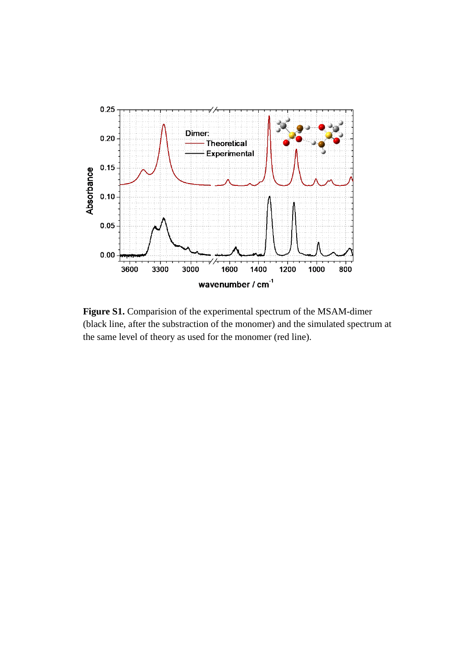

**Figure S1.** Comparision of the experimental spectrum of the MSAM-dimer (black line, after the substraction of the monomer) and the simulated spectrum at the same level of theory as used for the monomer (red line).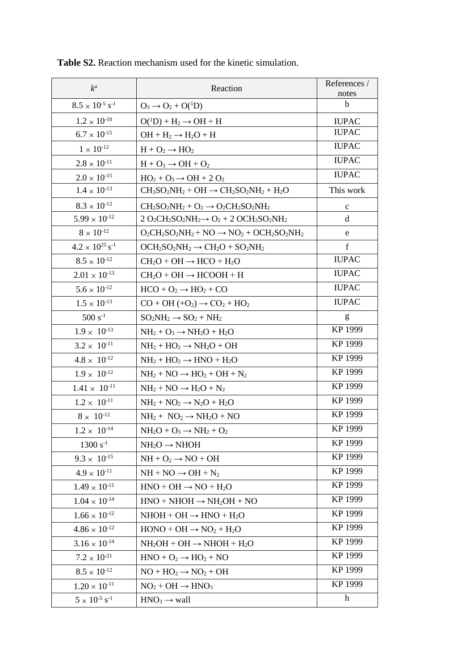| $k^{\mathrm{a}}$                     | Reaction                                                | References /<br>notes |
|--------------------------------------|---------------------------------------------------------|-----------------------|
| $8.5 \times 10^{-5}$ s <sup>-1</sup> | $O_3 \rightarrow O_2 + O(^1D)$                          | b                     |
| $1.2 \times 10^{-10}$                | $O(^1D) + H_2 \rightarrow OH + H$                       | <b>IUPAC</b>          |
| $6.7 \times 10^{-15}$                | $OH + H_2 \rightarrow H_2O + H$                         | <b>IUPAC</b>          |
| $1 \times 10^{-12}$                  | $H + O_2 \rightarrow HO_2$                              | <b>IUPAC</b>          |
| $2.8 \times 10^{-11}$                | $H + O_3 \rightarrow OH + O_2$                          | <b>IUPAC</b>          |
| $2.0 \times 10^{-15}$                | $HO_2 + O_3 \rightarrow OH + 2 O_2$                     | <b>IUPAC</b>          |
| $1.4 \times 10^{-13}$                | $CH_3SO_2NH_2+OH \rightarrow CH_2SO_2NH_2+H_2O$         | This work             |
| $8.3 \times 10^{-12}$                | $CH_2SO_2NH_2 + O_2 \rightarrow O_2CH_2SO_2NH_2$        | $\mathbf c$           |
| $5.99 \times 10^{-12}$               | $2 O_2CH_2SO_2NH_2 \rightarrow O_2 + 2 OCH_2SO_2NH_2$   | d                     |
| $8\times10^{\text{-}12}$             | $O_2CH_2SO_2NH_2 + NO \rightarrow NO_2 + OCH_2SO_2NH_2$ | e                     |
| $4.2 \times 10^{25}$ s <sup>-1</sup> | $OCH_2SO_2NH_2 \rightarrow CH_2O + SO_2NH_2$            | $\mathbf f$           |
| $8.5 \times 10^{-12}$                | $CH_2O + OH \rightarrow HCO + H_2O$                     | <b>IUPAC</b>          |
| $2.01 \times 10^{-13}$               | $CH2O + OH \rightarrow HCOOH + H$                       | <b>IUPAC</b>          |
| $5.6 \times 10^{-12}$                | $HCO + O_2 \rightarrow HO_2 + CO$                       | <b>IUPAC</b>          |
| $1.5 \times 10^{-13}$                | $CO + OH + O2 \rightarrow CO2 + HO2$                    | <b>IUPAC</b>          |
| $500 s^{-1}$                         | $SO_2NH_2 \rightarrow SO_2 + NH_2$                      | g                     |
| $1.9 \times 10^{-13}$                | $NH2 + O3 \rightarrow NH2O + H2O$                       | KP 1999               |
| $3.2 \times 10^{-11}$                | $NH2 + HO2 \rightarrow NH2O + OH$                       | KP 1999               |
| $4.8 \times 10^{-12}$                | $NH2 + HO2 \rightarrow HNO + H2O$                       | KP 1999               |
| $1.9 \times 10^{-12}$                | $NH2 + NO \rightarrow HO2 + OH + N2$                    | KP 1999               |
| $1.41 \times 10^{-11}$               | $NH2 + NO \rightarrow H2O + N2$                         | KP 1999               |
| $1.2 \times 10^{-11}$                | $NH2 + NO2 \rightarrow N2O + H2O$                       | KP 1999               |
| $8 \times 10^{-12}$                  | $NH_2 + NO_2 \rightarrow NH_2O + NO$                    | KP 1999               |
| $1.2 \times 10^{-14}$                | $NH2O + O3 \rightarrow NH2 + O2$                        | KP 1999               |
| $1300 s^{-1}$                        | $NH2O \rightarrow NHOH$                                 | KP 1999               |
| $9.3 \times 10^{-15}$                | $NH + O2 \rightarrow NO + OH$                           | KP 1999               |
| $4.9 \times 10^{-11}$                | $NH + NO \rightarrow OH + N_2$                          | KP 1999               |
| $1.49 \times 10^{-11}$               | $HNO + OH \rightarrow NO + H2O$                         | KP 1999               |
| $1.04 \times 10^{-14}$               | $HNO + NHOH \rightarrow NH_2OH + NO$                    | KP 1999               |
| $1.66 \times 10^{-12}$               | $NHOH + OH \rightarrow HNO + H2O$                       | KP 1999               |
| $4.86 \times 10^{-12}$               | $HONO + OH \rightarrow NO_2 + H_2O$                     | KP 1999               |
| $3.16 \times 10^{-14}$               | $NH2OH + OH \rightarrow NHOH + H2O$                     | KP 1999               |
| $7.2 \times 10^{-21}$                | $HNO + O2 \rightarrow HO2 + NO$                         | KP 1999               |
| $8.5 \times 10^{-12}$                | $NO + HO2 \rightarrow NO2 + OH$                         | KP 1999               |
| $1.20 \times 10^{-11}$               | $NO2 + OH \rightarrow HNO3$                             | KP 1999               |
| $5 \times 10^{-5}$ s <sup>-1</sup>   | $HNO3 \rightarrow wall$                                 | $\mathbf h$           |

**Table S2.** Reaction mechanism used for the kinetic simulation.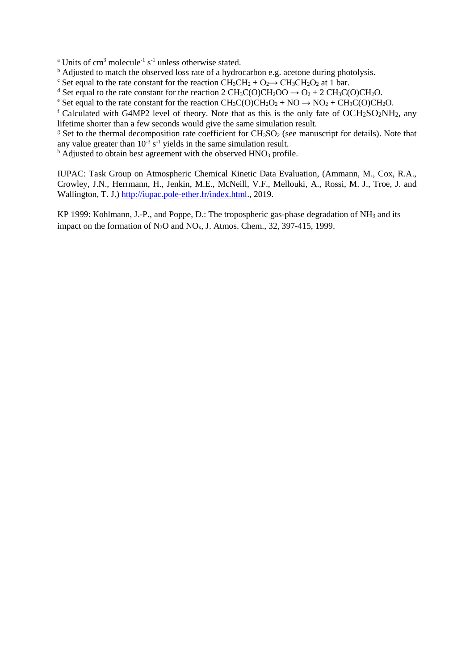<sup>a</sup> Units of cm<sup>3</sup> molecule<sup>-1</sup> s<sup>-1</sup> unless otherwise stated.

<sup>b</sup> Adjusted to match the observed loss rate of a hydrocarbon e.g. acetone during photolysis.

<sup>c</sup> Set equal to the rate constant for the reaction  $CH_3CH_2 + O_2 \rightarrow CH_3CH_2O_2$  at 1 bar.

<sup>d</sup> Set equal to the rate constant for the reaction 2 CH<sub>3</sub>C(O)CH<sub>2</sub>OO  $\rightarrow$  O<sub>2</sub> + 2 CH<sub>3</sub>C(O)CH<sub>2</sub>O.

<sup>e</sup> Set equal to the rate constant for the reaction  $CH_3C(O)CH_2O_2 + NO \rightarrow NO_2 + CH_3C(O)CH_2O$ .

<sup>f</sup> Calculated with G4MP2 level of theory. Note that as this is the only fate of  $OCH<sub>2</sub>SO<sub>2</sub>NH<sub>2</sub>$ , any lifetime shorter than a few seconds would give the same simulation result.

<sup>g</sup> Set to the thermal decomposition rate coefficient for  $CH_3SO_2$  (see manuscript for details). Note that any value greater than  $10^{-3}$  s<sup>-1</sup> yields in the same simulation result.

 $h$  Adjusted to obtain best agreement with the observed HNO<sub>3</sub> profile.

IUPAC: Task Group on Atmospheric Chemical Kinetic Data Evaluation, (Ammann, M., Cox, R.A., Crowley, J.N., Herrmann, H., Jenkin, M.E., McNeill, V.F., Mellouki, A., Rossi, M. J., Troe, J. and Wallington, T. J.) [http://iupac.pole-ether.fr/index.html.](http://iupac.pole-ether.fr/index.html), 2019.

KP 1999: Kohlmann, J.-P., and Poppe, D.: The tropospheric gas-phase degradation of NH<sub>3</sub> and its impact on the formation of  $N_2O$  and  $NO_x$ , J. Atmos. Chem., 32, 397-415, 1999.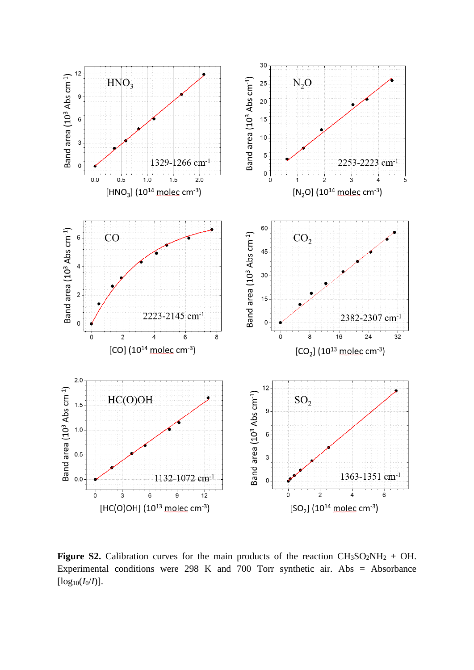

**Figure S2.** Calibration curves for the main products of the reaction  $CH_3SO_2NH_2$  + OH. Experimental conditions were 298 K and 700 Torr synthetic air. Abs = Absorbance  $[log_{10}(I_0/I)].$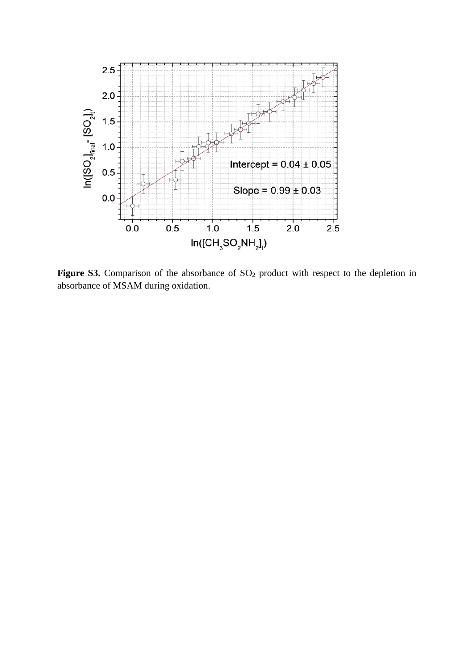

Figure S3. Comparison of the absorbance of SO<sub>2</sub> product with respect to the depletion in absorbance of MSAM during oxidation.